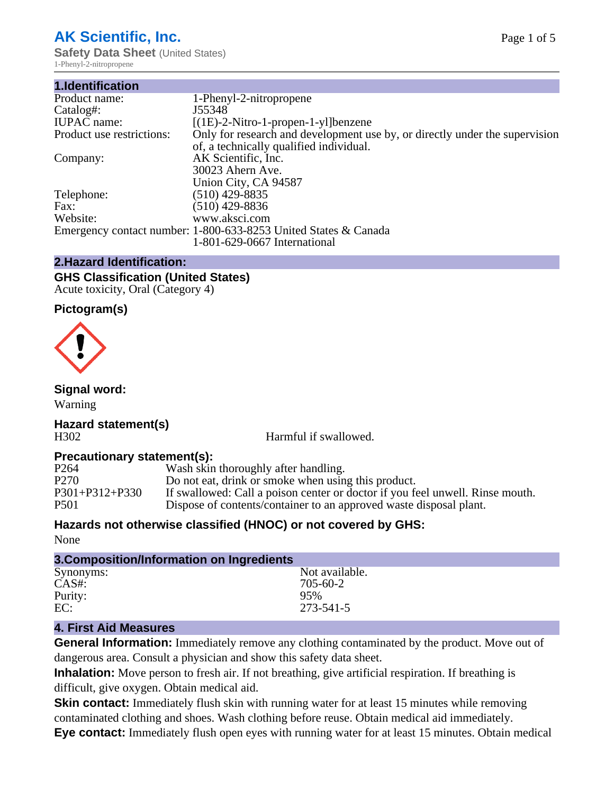# **AK Scientific, Inc.**

**Safety Data Sheet** (United States) 1-Phenyl-2-nitropropene

| 1.Identification          |                                                                                                                        |
|---------------------------|------------------------------------------------------------------------------------------------------------------------|
| Product name:             | 1-Phenyl-2-nitropropene                                                                                                |
| Catalog#:                 | J55348                                                                                                                 |
| <b>IUPAC</b> name:        | $[(1E)-2-Nitro-1-propen-1-y]$ benzene                                                                                  |
| Product use restrictions: | Only for research and development use by, or directly under the supervision<br>of, a technically qualified individual. |
| Company:                  | AK Scientific, Inc.<br>30023 Ahern Ave.<br>Union City, CA 94587                                                        |
| Telephone:                | $(510)$ 429-8835                                                                                                       |
| Fax:                      | (510) 429-8836                                                                                                         |
| Website:                  | www.aksci.com                                                                                                          |
|                           | Emergency contact number: 1-800-633-8253 United States & Canada                                                        |
|                           | 1-801-629-0667 International                                                                                           |

# **2.Hazard Identification:**

#### **GHS Classification (United States)** Acute toxicity, Oral (Category 4)

# **Pictogram(s)**



# **Signal word:**

Warning

#### **Hazard statement(s)** H302 Harmful if swallowed.

# **Precautionary statement(s):**<br>P264 Wash skin

P264 Wash skin thoroughly after handling.<br>P270 Do not eat, drink or smoke when usin P270 Do not eat, drink or smoke when using this product.<br>P301+P312+P330 If swallowed: Call a poison center or doctor if you fe If swallowed: Call a poison center or doctor if you feel unwell. Rinse mouth. P501 Dispose of contents/container to an approved waste disposal plant.

# **Hazards not otherwise classified (HNOC) or not covered by GHS:**

None

| 3. Composition/Information on Ingredients |                |
|-------------------------------------------|----------------|
| Synonyms:                                 | Not available. |
| $CAS#$ :                                  | 705-60-2       |
| Purity:                                   | 95%            |
| EC:                                       | 273-541-5      |

# **4. First Aid Measures**

**General Information:** Immediately remove any clothing contaminated by the product. Move out of dangerous area. Consult a physician and show this safety data sheet.

**Inhalation:** Move person to fresh air. If not breathing, give artificial respiration. If breathing is difficult, give oxygen. Obtain medical aid.

**Skin contact:** Immediately flush skin with running water for at least 15 minutes while removing contaminated clothing and shoes. Wash clothing before reuse. Obtain medical aid immediately. **Eye contact:** Immediately flush open eyes with running water for at least 15 minutes. Obtain medical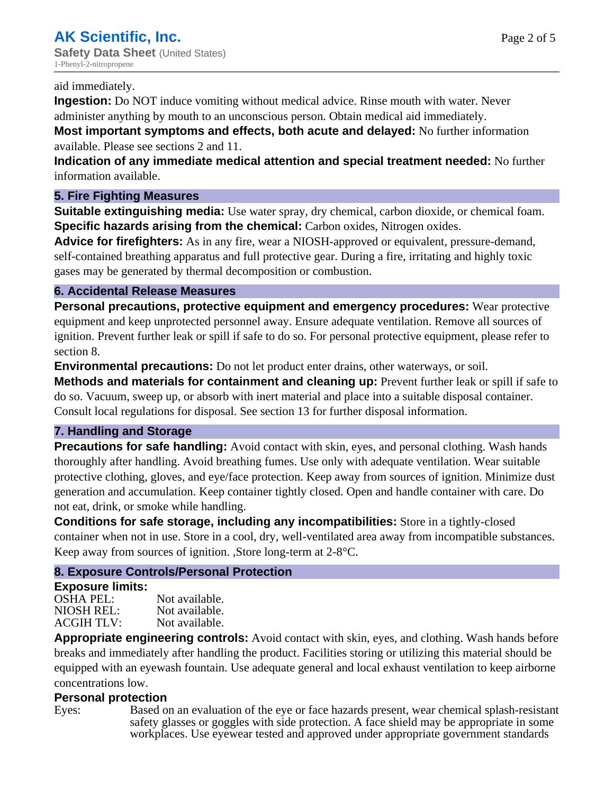#### aid immediately.

**Ingestion:** Do NOT induce vomiting without medical advice. Rinse mouth with water. Never administer anything by mouth to an unconscious person. Obtain medical aid immediately.

**Most important symptoms and effects, both acute and delayed:** No further information available. Please see sections 2 and 11.

**Indication of any immediate medical attention and special treatment needed:** No further information available.

# **5. Fire Fighting Measures**

**Suitable extinguishing media:** Use water spray, dry chemical, carbon dioxide, or chemical foam. **Specific hazards arising from the chemical:** Carbon oxides, Nitrogen oxides.

**Advice for firefighters:** As in any fire, wear a NIOSH-approved or equivalent, pressure-demand, self-contained breathing apparatus and full protective gear. During a fire, irritating and highly toxic gases may be generated by thermal decomposition or combustion.

# **6. Accidental Release Measures**

**Personal precautions, protective equipment and emergency procedures:** Wear protective equipment and keep unprotected personnel away. Ensure adequate ventilation. Remove all sources of ignition. Prevent further leak or spill if safe to do so. For personal protective equipment, please refer to section 8.

**Environmental precautions:** Do not let product enter drains, other waterways, or soil.

**Methods and materials for containment and cleaning up:** Prevent further leak or spill if safe to do so. Vacuum, sweep up, or absorb with inert material and place into a suitable disposal container. Consult local regulations for disposal. See section 13 for further disposal information.

# **7. Handling and Storage**

**Precautions for safe handling:** Avoid contact with skin, eyes, and personal clothing. Wash hands thoroughly after handling. Avoid breathing fumes. Use only with adequate ventilation. Wear suitable protective clothing, gloves, and eye/face protection. Keep away from sources of ignition. Minimize dust generation and accumulation. Keep container tightly closed. Open and handle container with care. Do not eat, drink, or smoke while handling.

**Conditions for safe storage, including any incompatibilities:** Store in a tightly-closed container when not in use. Store in a cool, dry, well-ventilated area away from incompatible substances. Keep away from sources of ignition. ,Store long-term at 2-8°C.

# **8. Exposure Controls/Personal Protection**

## **Exposure limits:**

OSHA PEL:<br>NIOSH REL: Not available. Not available.<br>Not available. **ACGIH TLV:** 

**Appropriate engineering controls:** Avoid contact with skin, eyes, and clothing. Wash hands before breaks and immediately after handling the product. Facilities storing or utilizing this material should be equipped with an eyewash fountain. Use adequate general and local exhaust ventilation to keep airborne concentrations low.

## **Personal protection**

Eyes: Based on an evaluation of the eye or face hazards present, wear chemical splash-resistant safety glasses or goggles with side protection. A face shield may be appropriate in some workplaces. Use eyewear tested and approved under appropriate government standards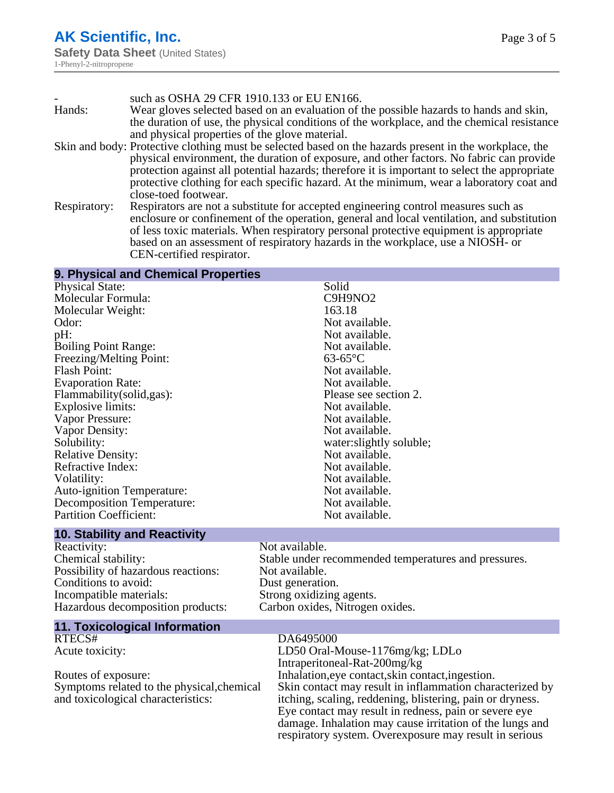|              | such as OSHA 29 CFR 1910.133 or EU EN166.                                                              |
|--------------|--------------------------------------------------------------------------------------------------------|
| Hands:       | Wear gloves selected based on an evaluation of the possible hazards to hands and skin,                 |
|              | the duration of use, the physical conditions of the workplace, and the chemical resistance             |
|              | and physical properties of the glove material.                                                         |
|              | Skin and body: Protective clothing must be selected based on the hazards present in the workplace, the |
|              | physical environment, the duration of exposure, and other factors. No fabric can provide               |
|              | protection against all potential hazards; therefore it is important to select the appropriate          |
|              | protective clothing for each specific hazard. At the minimum, wear a laboratory coat and               |
|              | close-toed footwear.                                                                                   |
| Respiratory: | Respirators are not a substitute for accepted engineering control measures such as                     |
|              | enclosure or confinement of the operation, general and local ventilation, and substitution             |
|              | of less toxic materials. When respiratory personal protective equipment is appropriate                 |
|              | based on an assessment of respiratory hazards in the workplace, use a NIOSH- or                        |
|              | CEN-certified respirator.                                                                              |

#### **9. Physical and Chemical Properties**

| <b>Physical State:</b>            | Solid                   |
|-----------------------------------|-------------------------|
| Molecular Formula:                | C9H9NO <sub>2</sub>     |
| Molecular Weight:                 | 163.18                  |
| Odor:                             | Not available.          |
| pH:                               | Not available.          |
| <b>Boiling Point Range:</b>       | Not available.          |
| Freezing/Melting Point:           | $63-65$ °C              |
| Flash Point:                      | Not available.          |
| <b>Evaporation Rate:</b>          | Not available.          |
| Flammability (solid, gas):        | Please see section 2.   |
| Explosive limits:                 | Not available.          |
| Vapor Pressure:                   | Not available.          |
| Vapor Density:                    | Not available.          |
| Solubility:                       | water:slightly soluble; |
| <b>Relative Density:</b>          | Not available.          |
| Refractive Index:                 | Not available.          |
| Volatility:                       | Not available.          |
| <b>Auto-ignition Temperature:</b> | Not available.          |
| Decomposition Temperature:        | Not available.          |
| <b>Partition Coefficient:</b>     | Not available.          |
|                                   |                         |

#### **10. Stability and Reactivity**

Reactivity: Not available. Possibility of hazardous reactions: Not available. Conditions to avoid: Dust generation. Incompatible materials:<br>
Hazardous decomposition products: Carbon oxides, Nitrogen oxides. Hazardous decomposition products:

Chemical stability: Stable under recommended temperatures and pressures.

# **11. Toxicological Information**

Symptoms related to the physical,chemical and toxicological characteristics:

#### DA6495000

Acute toxicity: LD50 Oral-Mouse-1176mg/kg; LDLo Intraperitoneal-Rat-200mg/kg Routes of exposure: Inhalation,eye contact, skin contact, ingestion. Skin contact may result in inflammation characterized by itching, scaling, reddening, blistering, pain or dryness. Eye contact may result in redness, pain or severe eye damage. Inhalation may cause irritation of the lungs and respiratory system. Overexposure may result in serious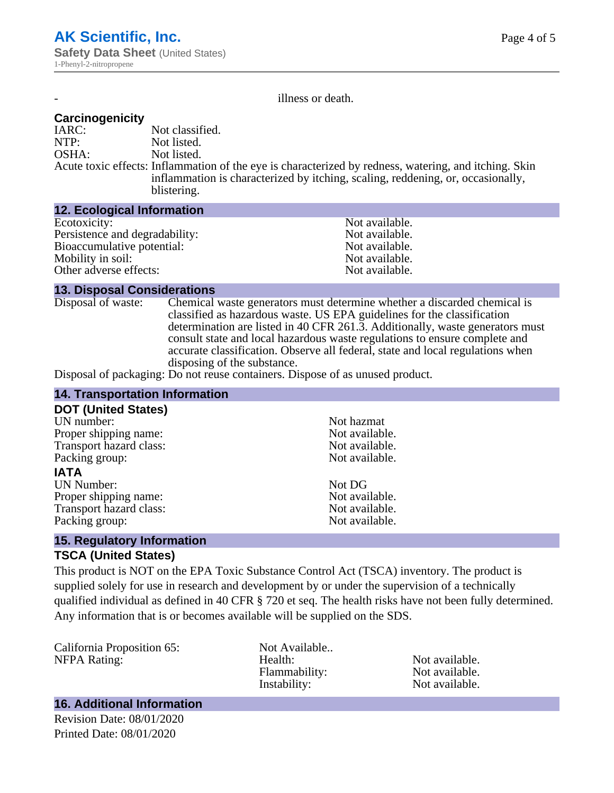illness or death.

### **Carcinogenicity**

IARC: Not classified.<br>NTP: Not listed. NTP:<br>
OSHA: Not listed.<br>
Not listed. Not listed. Acute toxic effects: Inflammation of the eye is characterized by redness, watering, and itching. Skin inflammation is characterized by itching, scaling, reddening, or, occasionally, blistering.

#### **12. Ecological Information**

| Ecotoxicity:                   | Not available. |  |  |
|--------------------------------|----------------|--|--|
| Persistence and degradability: | Not available. |  |  |
| Bioaccumulative potential:     | Not available. |  |  |
| Mobility in soil:              | Not available. |  |  |
| Other adverse effects:         | Not available. |  |  |
|                                |                |  |  |

#### **13. Disposal Considerations**

Disposal of waste: Chemical waste generators must determine whether a discarded chemical is classified as hazardous waste. US EPA guidelines for the classification determination are listed in 40 CFR 261.3. Additionally, waste generators must consult state and local hazardous waste regulations to ensure complete and accurate classification. Observe all federal, state and local regulations when disposing of the substance.

Disposal of packaging: Do not reuse containers. Dispose of as unused product.

| <b>14. Transportation Information</b> |                |  |
|---------------------------------------|----------------|--|
| <b>DOT (United States)</b>            |                |  |
| UN number:                            | Not hazmat     |  |
| Proper shipping name:                 | Not available. |  |
| Transport hazard class:               | Not available. |  |
| Packing group:                        | Not available. |  |
| <b>IATA</b>                           |                |  |
| <b>UN Number:</b>                     | Not DG         |  |
| Proper shipping name:                 | Not available. |  |
| Transport hazard class:               | Not available. |  |
| Packing group:                        | Not available. |  |
| $\sim$ $\sim$ $\sim$                  |                |  |

#### **15. Regulatory Information**

#### **TSCA (United States)**

This product is NOT on the EPA Toxic Substance Control Act (TSCA) inventory. The product is supplied solely for use in research and development by or under the supervision of a technically qualified individual as defined in 40 CFR § 720 et seq. The health risks have not been fully determined. Any information that is or becomes available will be supplied on the SDS.

California Proposition 65: Not Available..<br>
NEPA Rating: Health:

NFPA Rating: The Mealth: Health: Not available.<br>
Hammability: Not available. Flammability: Instability: Not available.

#### **16. Additional Information**

Revision Date: 08/01/2020 Printed Date: 08/01/2020